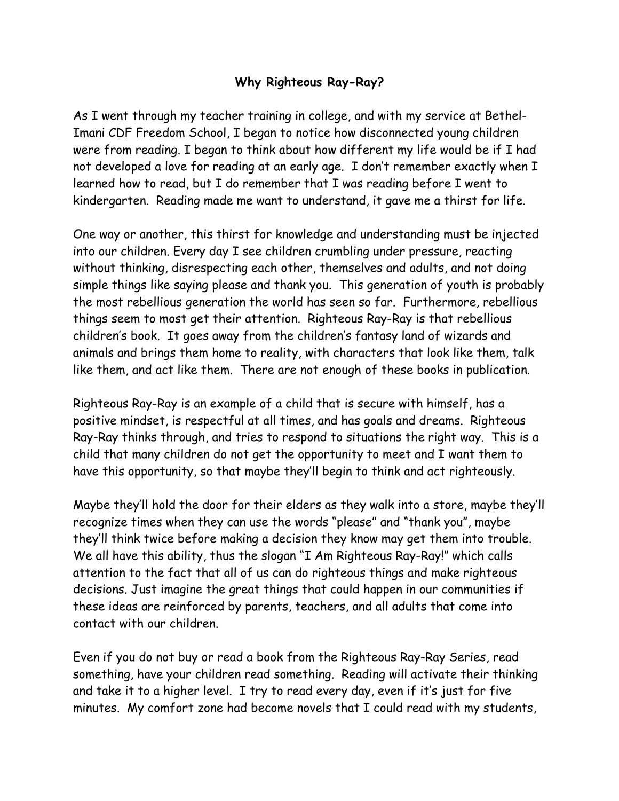## **Why Righteous Ray-Ray?**

As I went through my teacher training in college, and with my service at Bethel-Imani CDF Freedom School, I began to notice how disconnected young children were from reading. I began to think about how different my life would be if I had not developed a love for reading at an early age. I don't remember exactly when I learned how to read, but I do remember that I was reading before I went to kindergarten. Reading made me want to understand, it gave me a thirst for life.

One way or another, this thirst for knowledge and understanding must be injected into our children. Every day I see children crumbling under pressure, reacting without thinking, disrespecting each other, themselves and adults, and not doing simple things like saying please and thank you. This generation of youth is probably the most rebellious generation the world has seen so far. Furthermore, rebellious things seem to most get their attention. Righteous Ray-Ray is that rebellious children's book. It goes away from the children's fantasy land of wizards and animals and brings them home to reality, with characters that look like them, talk like them, and act like them. There are not enough of these books in publication.

Righteous Ray-Ray is an example of a child that is secure with himself, has a positive mindset, is respectful at all times, and has goals and dreams. Righteous Ray-Ray thinks through, and tries to respond to situations the right way. This is a child that many children do not get the opportunity to meet and I want them to have this opportunity, so that maybe they'll begin to think and act righteously.

Maybe they'll hold the door for their elders as they walk into a store, maybe they'll recognize times when they can use the words "please" and "thank you", maybe they'll think twice before making a decision they know may get them into trouble. We all have this ability, thus the slogan "I Am Righteous Ray-Ray!" which calls attention to the fact that all of us can do righteous things and make righteous decisions. Just imagine the great things that could happen in our communities if these ideas are reinforced by parents, teachers, and all adults that come into contact with our children.

Even if you do not buy or read a book from the Righteous Ray-Ray Series, read something, have your children read something. Reading will activate their thinking and take it to a higher level. I try to read every day, even if it's just for five minutes. My comfort zone had become novels that I could read with my students,